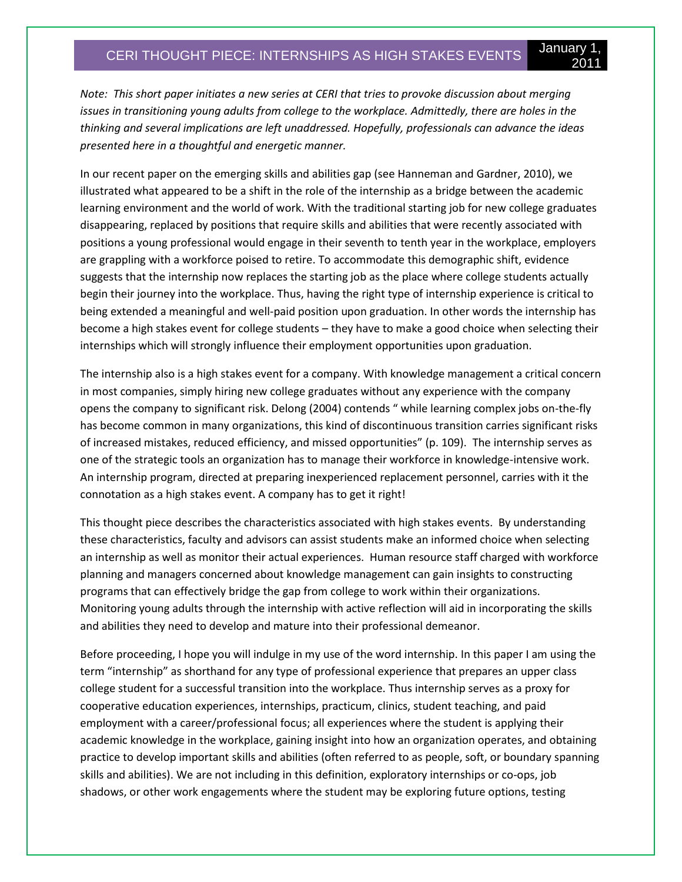# CERI THOUGHT PIECE: INTERNSHIPS AS HIGH STAKES EVENTS January 1,

2011

*Note: This short paper initiates a new series at CERI that tries to provoke discussion about merging issues in transitioning young adults from college to the workplace. Admittedly, there are holes in the thinking and several implications are left unaddressed. Hopefully, professionals can advance the ideas presented here in a thoughtful and energetic manner.* 

In our recent paper on the emerging skills and abilities gap (see Hanneman and Gardner, 2010), we illustrated what appeared to be a shift in the role of the internship as a bridge between the academic learning environment and the world of work. With the traditional starting job for new college graduates disappearing, replaced by positions that require skills and abilities that were recently associated with positions a young professional would engage in their seventh to tenth year in the workplace, employers are grappling with a workforce poised to retire. To accommodate this demographic shift, evidence suggests that the internship now replaces the starting job as the place where college students actually begin their journey into the workplace. Thus, having the right type of internship experience is critical to being extended a meaningful and well-paid position upon graduation. In other words the internship has become a high stakes event for college students – they have to make a good choice when selecting their internships which will strongly influence their employment opportunities upon graduation.

The internship also is a high stakes event for a company. With knowledge management a critical concern in most companies, simply hiring new college graduates without any experience with the company opens the company to significant risk. Delong (2004) contends " while learning complex jobs on-the-fly has become common in many organizations, this kind of discontinuous transition carries significant risks of increased mistakes, reduced efficiency, and missed opportunities" (p. 109). The internship serves as one of the strategic tools an organization has to manage their workforce in knowledge-intensive work. An internship program, directed at preparing inexperienced replacement personnel, carries with it the connotation as a high stakes event. A company has to get it right!

This thought piece describes the characteristics associated with high stakes events. By understanding these characteristics, faculty and advisors can assist students make an informed choice when selecting an internship as well as monitor their actual experiences. Human resource staff charged with workforce planning and managers concerned about knowledge management can gain insights to constructing programs that can effectively bridge the gap from college to work within their organizations. Monitoring young adults through the internship with active reflection will aid in incorporating the skills and abilities they need to develop and mature into their professional demeanor.

Before proceeding, I hope you will indulge in my use of the word internship. In this paper I am using the term "internship" as shorthand for any type of professional experience that prepares an upper class college student for a successful transition into the workplace. Thus internship serves as a proxy for cooperative education experiences, internships, practicum, clinics, student teaching, and paid employment with a career/professional focus; all experiences where the student is applying their academic knowledge in the workplace, gaining insight into how an organization operates, and obtaining practice to develop important skills and abilities (often referred to as people, soft, or boundary spanning skills and abilities). We are not including in this definition, exploratory internships or co-ops, job shadows, or other work engagements where the student may be exploring future options, testing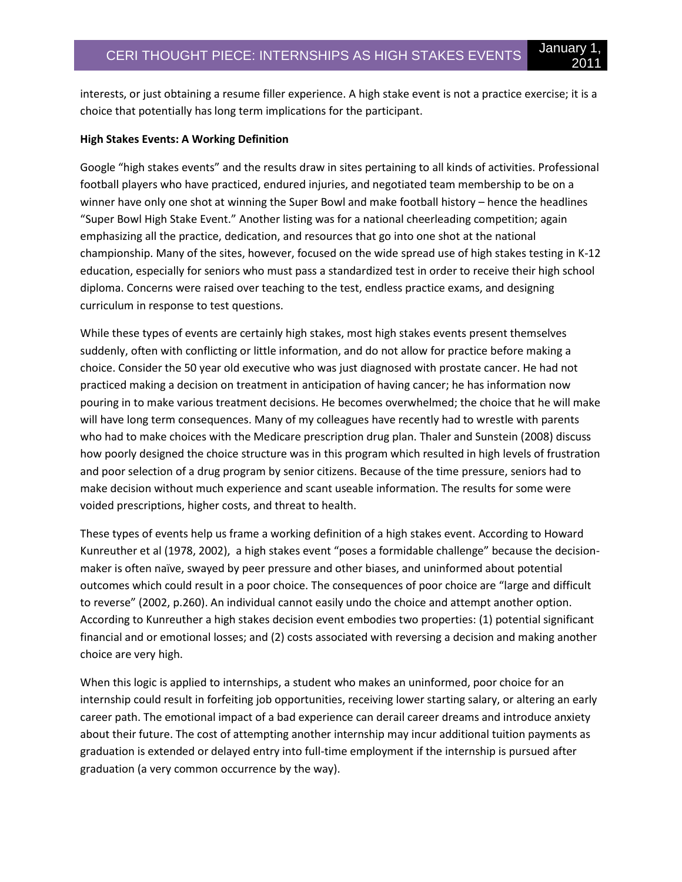interests, or just obtaining a resume filler experience. A high stake event is not a practice exercise; it is a choice that potentially has long term implications for the participant.

#### **High Stakes Events: A Working Definition**

Google "high stakes events" and the results draw in sites pertaining to all kinds of activities. Professional football players who have practiced, endured injuries, and negotiated team membership to be on a winner have only one shot at winning the Super Bowl and make football history – hence the headlines "Super Bowl High Stake Event." Another listing was for a national cheerleading competition; again emphasizing all the practice, dedication, and resources that go into one shot at the national championship. Many of the sites, however, focused on the wide spread use of high stakes testing in K-12 education, especially for seniors who must pass a standardized test in order to receive their high school diploma. Concerns were raised over teaching to the test, endless practice exams, and designing curriculum in response to test questions.

While these types of events are certainly high stakes, most high stakes events present themselves suddenly, often with conflicting or little information, and do not allow for practice before making a choice. Consider the 50 year old executive who was just diagnosed with prostate cancer. He had not practiced making a decision on treatment in anticipation of having cancer; he has information now pouring in to make various treatment decisions. He becomes overwhelmed; the choice that he will make will have long term consequences. Many of my colleagues have recently had to wrestle with parents who had to make choices with the Medicare prescription drug plan. Thaler and Sunstein (2008) discuss how poorly designed the choice structure was in this program which resulted in high levels of frustration and poor selection of a drug program by senior citizens. Because of the time pressure, seniors had to make decision without much experience and scant useable information. The results for some were voided prescriptions, higher costs, and threat to health.

These types of events help us frame a working definition of a high stakes event. According to Howard Kunreuther et al (1978, 2002), a high stakes event "poses a formidable challenge" because the decisionmaker is often naïve, swayed by peer pressure and other biases, and uninformed about potential outcomes which could result in a poor choice. The consequences of poor choice are "large and difficult to reverse" (2002, p.260). An individual cannot easily undo the choice and attempt another option. According to Kunreuther a high stakes decision event embodies two properties: (1) potential significant financial and or emotional losses; and (2) costs associated with reversing a decision and making another choice are very high.

When this logic is applied to internships, a student who makes an uninformed, poor choice for an internship could result in forfeiting job opportunities, receiving lower starting salary, or altering an early career path. The emotional impact of a bad experience can derail career dreams and introduce anxiety about their future. The cost of attempting another internship may incur additional tuition payments as graduation is extended or delayed entry into full-time employment if the internship is pursued after graduation (a very common occurrence by the way).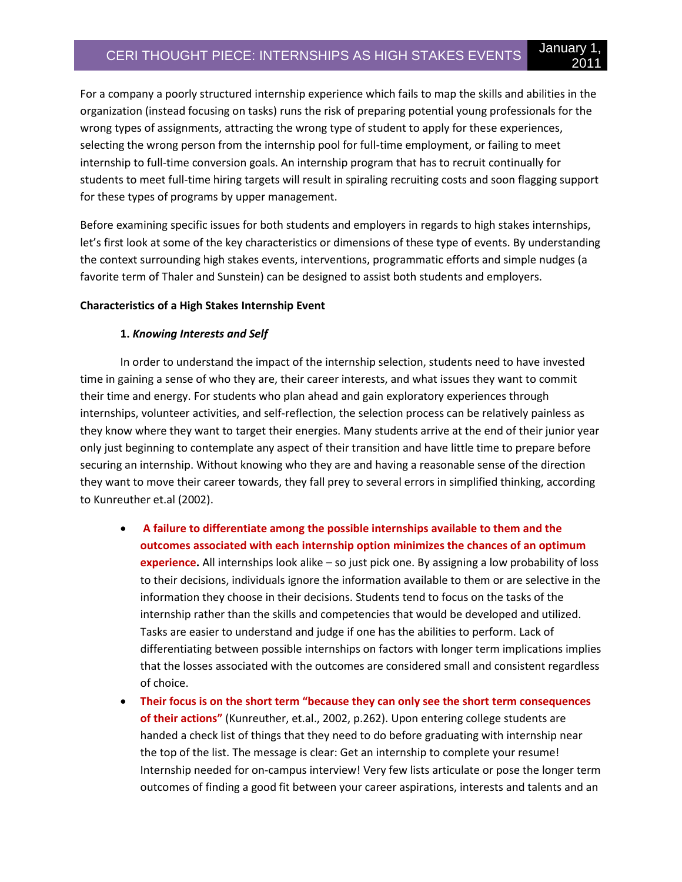For a company a poorly structured internship experience which fails to map the skills and abilities in the organization (instead focusing on tasks) runs the risk of preparing potential young professionals for the wrong types of assignments, attracting the wrong type of student to apply for these experiences, selecting the wrong person from the internship pool for full-time employment, or failing to meet internship to full-time conversion goals. An internship program that has to recruit continually for students to meet full-time hiring targets will result in spiraling recruiting costs and soon flagging support for these types of programs by upper management.

2011

Before examining specific issues for both students and employers in regards to high stakes internships, let's first look at some of the key characteristics or dimensions of these type of events. By understanding the context surrounding high stakes events, interventions, programmatic efforts and simple nudges (a favorite term of Thaler and Sunstein) can be designed to assist both students and employers.

### **Characteristics of a High Stakes Internship Event**

# **1.** *Knowing Interests and Self*

In order to understand the impact of the internship selection, students need to have invested time in gaining a sense of who they are, their career interests, and what issues they want to commit their time and energy. For students who plan ahead and gain exploratory experiences through internships, volunteer activities, and self-reflection, the selection process can be relatively painless as they know where they want to target their energies. Many students arrive at the end of their junior year only just beginning to contemplate any aspect of their transition and have little time to prepare before securing an internship. Without knowing who they are and having a reasonable sense of the direction they want to move their career towards, they fall prey to several errors in simplified thinking, according to Kunreuther et.al (2002).

- **A failure to differentiate among the possible internships available to them and the outcomes associated with each internship option minimizes the chances of an optimum experience.** All internships look alike – so just pick one. By assigning a low probability of loss to their decisions, individuals ignore the information available to them or are selective in the information they choose in their decisions. Students tend to focus on the tasks of the internship rather than the skills and competencies that would be developed and utilized. Tasks are easier to understand and judge if one has the abilities to perform. Lack of differentiating between possible internships on factors with longer term implications implies that the losses associated with the outcomes are considered small and consistent regardless of choice.
- **Their focus is on the short term "because they can only see the short term consequences of their actions"** (Kunreuther, et.al., 2002, p.262). Upon entering college students are handed a check list of things that they need to do before graduating with internship near the top of the list. The message is clear: Get an internship to complete your resume! Internship needed for on-campus interview! Very few lists articulate or pose the longer term outcomes of finding a good fit between your career aspirations, interests and talents and an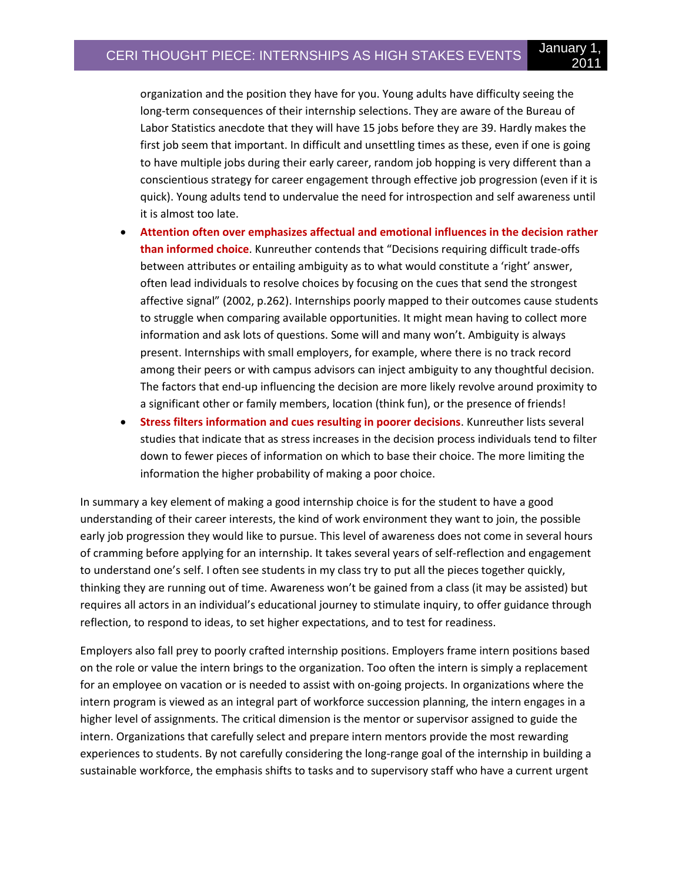organization and the position they have for you. Young adults have difficulty seeing the long-term consequences of their internship selections. They are aware of the Bureau of Labor Statistics anecdote that they will have 15 jobs before they are 39. Hardly makes the first job seem that important. In difficult and unsettling times as these, even if one is going to have multiple jobs during their early career, random job hopping is very different than a conscientious strategy for career engagement through effective job progression (even if it is quick). Young adults tend to undervalue the need for introspection and self awareness until it is almost too late.

- **Attention often over emphasizes affectual and emotional influences in the decision rather than informed choice**. Kunreuther contends that "Decisions requiring difficult trade-offs between attributes or entailing ambiguity as to what would constitute a 'right' answer, often lead individuals to resolve choices by focusing on the cues that send the strongest affective signal" (2002, p.262). Internships poorly mapped to their outcomes cause students to struggle when comparing available opportunities. It might mean having to collect more information and ask lots of questions. Some will and many won't. Ambiguity is always present. Internships with small employers, for example, where there is no track record among their peers or with campus advisors can inject ambiguity to any thoughtful decision. The factors that end-up influencing the decision are more likely revolve around proximity to a significant other or family members, location (think fun), or the presence of friends!
- **Stress filters information and cues resulting in poorer decisions**. Kunreuther lists several studies that indicate that as stress increases in the decision process individuals tend to filter down to fewer pieces of information on which to base their choice. The more limiting the information the higher probability of making a poor choice.

In summary a key element of making a good internship choice is for the student to have a good understanding of their career interests, the kind of work environment they want to join, the possible early job progression they would like to pursue. This level of awareness does not come in several hours of cramming before applying for an internship. It takes several years of self-reflection and engagement to understand one's self. I often see students in my class try to put all the pieces together quickly, thinking they are running out of time. Awareness won't be gained from a class (it may be assisted) but requires all actors in an individual's educational journey to stimulate inquiry, to offer guidance through reflection, to respond to ideas, to set higher expectations, and to test for readiness.

Employers also fall prey to poorly crafted internship positions. Employers frame intern positions based on the role or value the intern brings to the organization. Too often the intern is simply a replacement for an employee on vacation or is needed to assist with on-going projects. In organizations where the intern program is viewed as an integral part of workforce succession planning, the intern engages in a higher level of assignments. The critical dimension is the mentor or supervisor assigned to guide the intern. Organizations that carefully select and prepare intern mentors provide the most rewarding experiences to students. By not carefully considering the long-range goal of the internship in building a sustainable workforce, the emphasis shifts to tasks and to supervisory staff who have a current urgent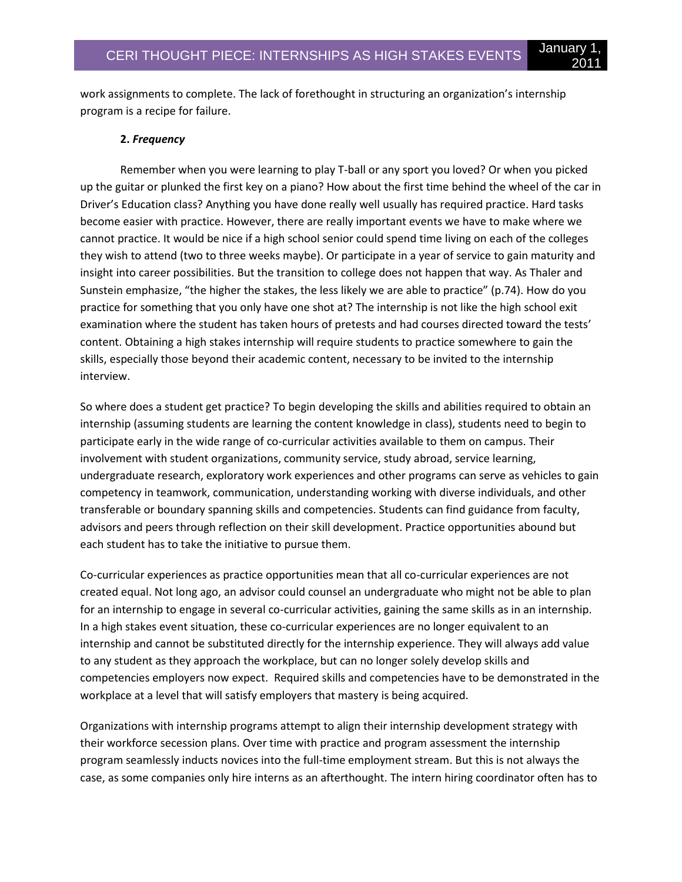work assignments to complete. The lack of forethought in structuring an organization's internship program is a recipe for failure.

### **2.** *Frequency*

Remember when you were learning to play T-ball or any sport you loved? Or when you picked up the guitar or plunked the first key on a piano? How about the first time behind the wheel of the car in Driver's Education class? Anything you have done really well usually has required practice. Hard tasks become easier with practice. However, there are really important events we have to make where we cannot practice. It would be nice if a high school senior could spend time living on each of the colleges they wish to attend (two to three weeks maybe). Or participate in a year of service to gain maturity and insight into career possibilities. But the transition to college does not happen that way. As Thaler and Sunstein emphasize, "the higher the stakes, the less likely we are able to practice" (p.74). How do you practice for something that you only have one shot at? The internship is not like the high school exit examination where the student has taken hours of pretests and had courses directed toward the tests' content. Obtaining a high stakes internship will require students to practice somewhere to gain the skills, especially those beyond their academic content, necessary to be invited to the internship interview.

So where does a student get practice? To begin developing the skills and abilities required to obtain an internship (assuming students are learning the content knowledge in class), students need to begin to participate early in the wide range of co-curricular activities available to them on campus. Their involvement with student organizations, community service, study abroad, service learning, undergraduate research, exploratory work experiences and other programs can serve as vehicles to gain competency in teamwork, communication, understanding working with diverse individuals, and other transferable or boundary spanning skills and competencies. Students can find guidance from faculty, advisors and peers through reflection on their skill development. Practice opportunities abound but each student has to take the initiative to pursue them.

Co-curricular experiences as practice opportunities mean that all co-curricular experiences are not created equal. Not long ago, an advisor could counsel an undergraduate who might not be able to plan for an internship to engage in several co-curricular activities, gaining the same skills as in an internship. In a high stakes event situation, these co-curricular experiences are no longer equivalent to an internship and cannot be substituted directly for the internship experience. They will always add value to any student as they approach the workplace, but can no longer solely develop skills and competencies employers now expect. Required skills and competencies have to be demonstrated in the workplace at a level that will satisfy employers that mastery is being acquired.

Organizations with internship programs attempt to align their internship development strategy with their workforce secession plans. Over time with practice and program assessment the internship program seamlessly inducts novices into the full-time employment stream. But this is not always the case, as some companies only hire interns as an afterthought. The intern hiring coordinator often has to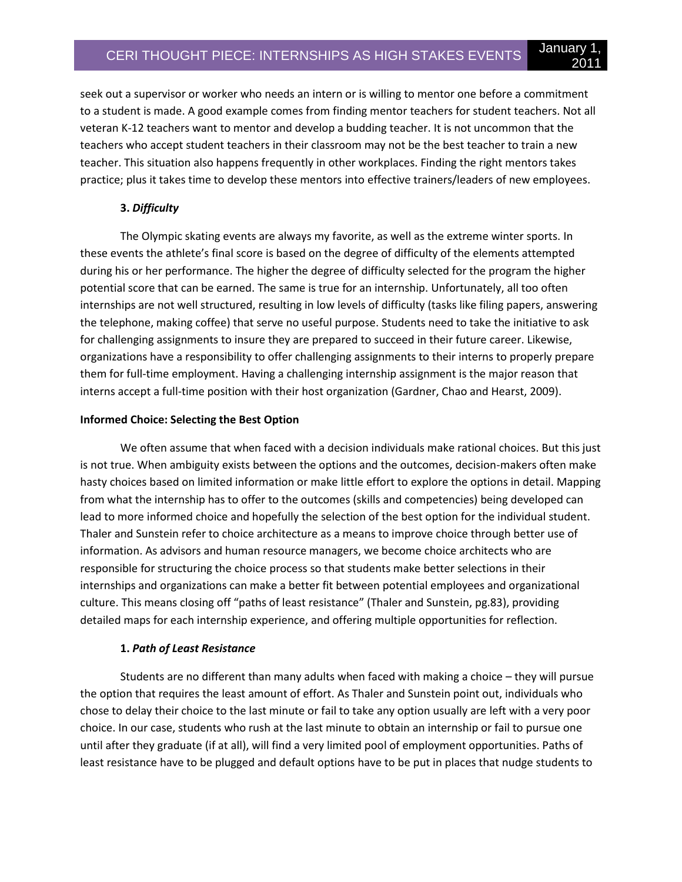seek out a supervisor or worker who needs an intern or is willing to mentor one before a commitment to a student is made. A good example comes from finding mentor teachers for student teachers. Not all veteran K-12 teachers want to mentor and develop a budding teacher. It is not uncommon that the teachers who accept student teachers in their classroom may not be the best teacher to train a new teacher. This situation also happens frequently in other workplaces. Finding the right mentors takes practice; plus it takes time to develop these mentors into effective trainers/leaders of new employees.

## **3.** *Difficulty*

The Olympic skating events are always my favorite, as well as the extreme winter sports. In these events the athlete's final score is based on the degree of difficulty of the elements attempted during his or her performance. The higher the degree of difficulty selected for the program the higher potential score that can be earned. The same is true for an internship. Unfortunately, all too often internships are not well structured, resulting in low levels of difficulty (tasks like filing papers, answering the telephone, making coffee) that serve no useful purpose. Students need to take the initiative to ask for challenging assignments to insure they are prepared to succeed in their future career. Likewise, organizations have a responsibility to offer challenging assignments to their interns to properly prepare them for full-time employment. Having a challenging internship assignment is the major reason that interns accept a full-time position with their host organization (Gardner, Chao and Hearst, 2009).

#### **Informed Choice: Selecting the Best Option**

We often assume that when faced with a decision individuals make rational choices. But this just is not true. When ambiguity exists between the options and the outcomes, decision-makers often make hasty choices based on limited information or make little effort to explore the options in detail. Mapping from what the internship has to offer to the outcomes (skills and competencies) being developed can lead to more informed choice and hopefully the selection of the best option for the individual student. Thaler and Sunstein refer to choice architecture as a means to improve choice through better use of information. As advisors and human resource managers, we become choice architects who are responsible for structuring the choice process so that students make better selections in their internships and organizations can make a better fit between potential employees and organizational culture. This means closing off "paths of least resistance" (Thaler and Sunstein, pg.83), providing detailed maps for each internship experience, and offering multiple opportunities for reflection.

### **1.** *Path of Least Resistance*

Students are no different than many adults when faced with making a choice – they will pursue the option that requires the least amount of effort. As Thaler and Sunstein point out, individuals who chose to delay their choice to the last minute or fail to take any option usually are left with a very poor choice. In our case, students who rush at the last minute to obtain an internship or fail to pursue one until after they graduate (if at all), will find a very limited pool of employment opportunities. Paths of least resistance have to be plugged and default options have to be put in places that nudge students to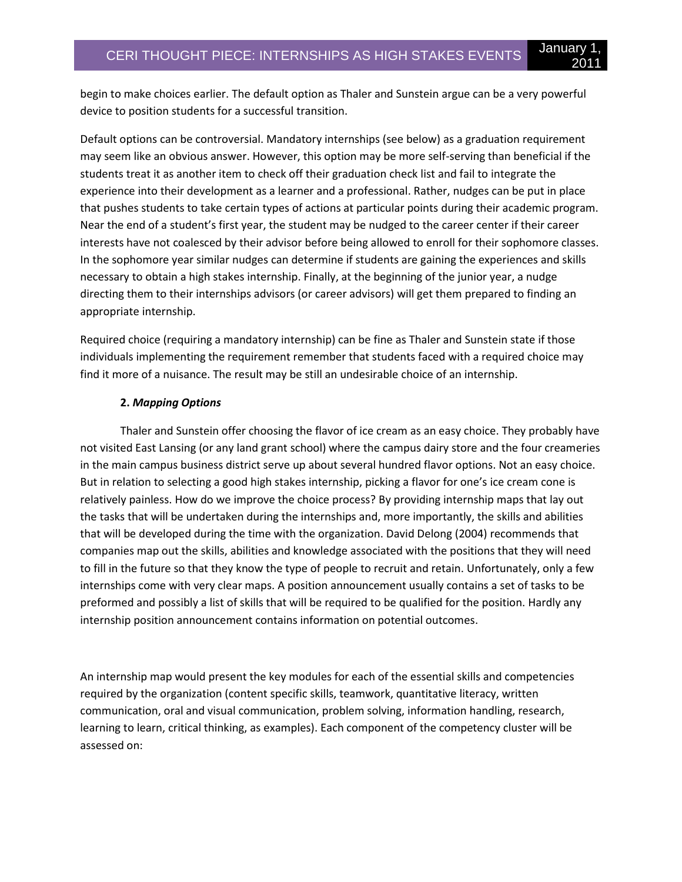begin to make choices earlier. The default option as Thaler and Sunstein argue can be a very powerful device to position students for a successful transition.

Default options can be controversial. Mandatory internships (see below) as a graduation requirement may seem like an obvious answer. However, this option may be more self-serving than beneficial if the students treat it as another item to check off their graduation check list and fail to integrate the experience into their development as a learner and a professional. Rather, nudges can be put in place that pushes students to take certain types of actions at particular points during their academic program. Near the end of a student's first year, the student may be nudged to the career center if their career interests have not coalesced by their advisor before being allowed to enroll for their sophomore classes. In the sophomore year similar nudges can determine if students are gaining the experiences and skills necessary to obtain a high stakes internship. Finally, at the beginning of the junior year, a nudge directing them to their internships advisors (or career advisors) will get them prepared to finding an appropriate internship.

Required choice (requiring a mandatory internship) can be fine as Thaler and Sunstein state if those individuals implementing the requirement remember that students faced with a required choice may find it more of a nuisance. The result may be still an undesirable choice of an internship.

# **2.** *Mapping Options*

Thaler and Sunstein offer choosing the flavor of ice cream as an easy choice. They probably have not visited East Lansing (or any land grant school) where the campus dairy store and the four creameries in the main campus business district serve up about several hundred flavor options. Not an easy choice. But in relation to selecting a good high stakes internship, picking a flavor for one's ice cream cone is relatively painless. How do we improve the choice process? By providing internship maps that lay out the tasks that will be undertaken during the internships and, more importantly, the skills and abilities that will be developed during the time with the organization. David Delong (2004) recommends that companies map out the skills, abilities and knowledge associated with the positions that they will need to fill in the future so that they know the type of people to recruit and retain. Unfortunately, only a few internships come with very clear maps. A position announcement usually contains a set of tasks to be preformed and possibly a list of skills that will be required to be qualified for the position. Hardly any internship position announcement contains information on potential outcomes.

An internship map would present the key modules for each of the essential skills and competencies required by the organization (content specific skills, teamwork, quantitative literacy, written communication, oral and visual communication, problem solving, information handling, research, learning to learn, critical thinking, as examples). Each component of the competency cluster will be assessed on: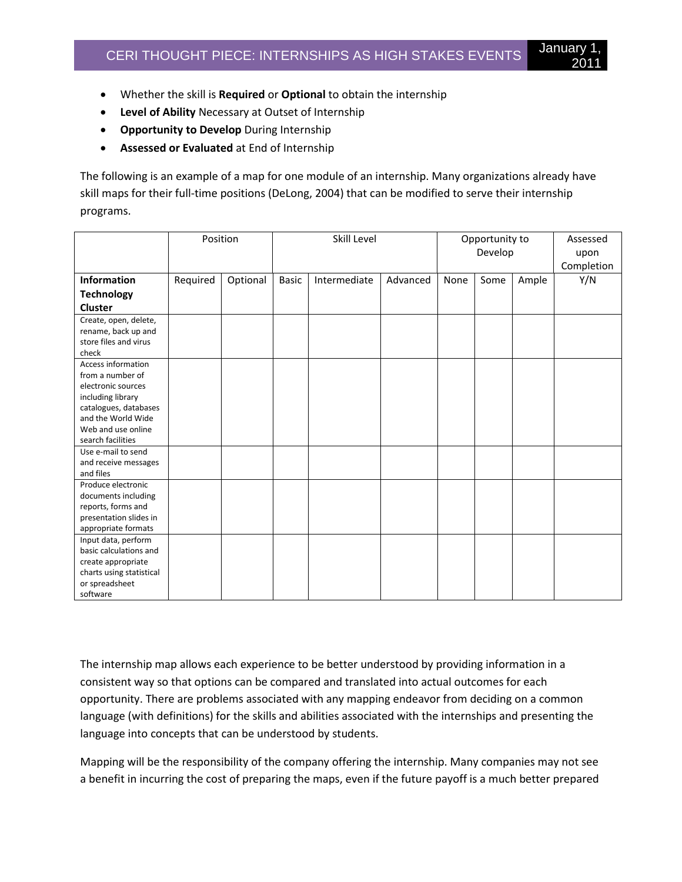- Whether the skill is **Required** or **Optional** to obtain the internship
- **Level of Ability** Necessary at Outset of Internship
- **Opportunity to Develop** During Internship
- **Assessed or Evaluated** at End of Internship

The following is an example of a map for one module of an internship. Many organizations already have skill maps for their full-time positions (DeLong, 2004) that can be modified to serve their internship programs.

|                                   | Position |          | Skill Level  |              |          | Opportunity to<br>Develop |      |       | Assessed<br>upon |
|-----------------------------------|----------|----------|--------------|--------------|----------|---------------------------|------|-------|------------------|
|                                   |          |          |              |              |          |                           |      |       | Completion       |
| Information                       | Required | Optional | <b>Basic</b> | Intermediate | Advanced | None                      | Some | Ample | Y/N              |
| <b>Technology</b>                 |          |          |              |              |          |                           |      |       |                  |
| Cluster                           |          |          |              |              |          |                           |      |       |                  |
| Create, open, delete,             |          |          |              |              |          |                           |      |       |                  |
| rename, back up and               |          |          |              |              |          |                           |      |       |                  |
| store files and virus             |          |          |              |              |          |                           |      |       |                  |
| check                             |          |          |              |              |          |                           |      |       |                  |
| Access information                |          |          |              |              |          |                           |      |       |                  |
| from a number of                  |          |          |              |              |          |                           |      |       |                  |
| electronic sources                |          |          |              |              |          |                           |      |       |                  |
| including library                 |          |          |              |              |          |                           |      |       |                  |
| catalogues, databases             |          |          |              |              |          |                           |      |       |                  |
| and the World Wide                |          |          |              |              |          |                           |      |       |                  |
| Web and use online                |          |          |              |              |          |                           |      |       |                  |
| search facilities                 |          |          |              |              |          |                           |      |       |                  |
| Use e-mail to send                |          |          |              |              |          |                           |      |       |                  |
| and receive messages<br>and files |          |          |              |              |          |                           |      |       |                  |
| Produce electronic                |          |          |              |              |          |                           |      |       |                  |
| documents including               |          |          |              |              |          |                           |      |       |                  |
| reports, forms and                |          |          |              |              |          |                           |      |       |                  |
| presentation slides in            |          |          |              |              |          |                           |      |       |                  |
| appropriate formats               |          |          |              |              |          |                           |      |       |                  |
| Input data, perform               |          |          |              |              |          |                           |      |       |                  |
| basic calculations and            |          |          |              |              |          |                           |      |       |                  |
| create appropriate                |          |          |              |              |          |                           |      |       |                  |
| charts using statistical          |          |          |              |              |          |                           |      |       |                  |
| or spreadsheet                    |          |          |              |              |          |                           |      |       |                  |
| software                          |          |          |              |              |          |                           |      |       |                  |

The internship map allows each experience to be better understood by providing information in a consistent way so that options can be compared and translated into actual outcomes for each opportunity. There are problems associated with any mapping endeavor from deciding on a common language (with definitions) for the skills and abilities associated with the internships and presenting the language into concepts that can be understood by students.

Mapping will be the responsibility of the company offering the internship. Many companies may not see a benefit in incurring the cost of preparing the maps, even if the future payoff is a much better prepared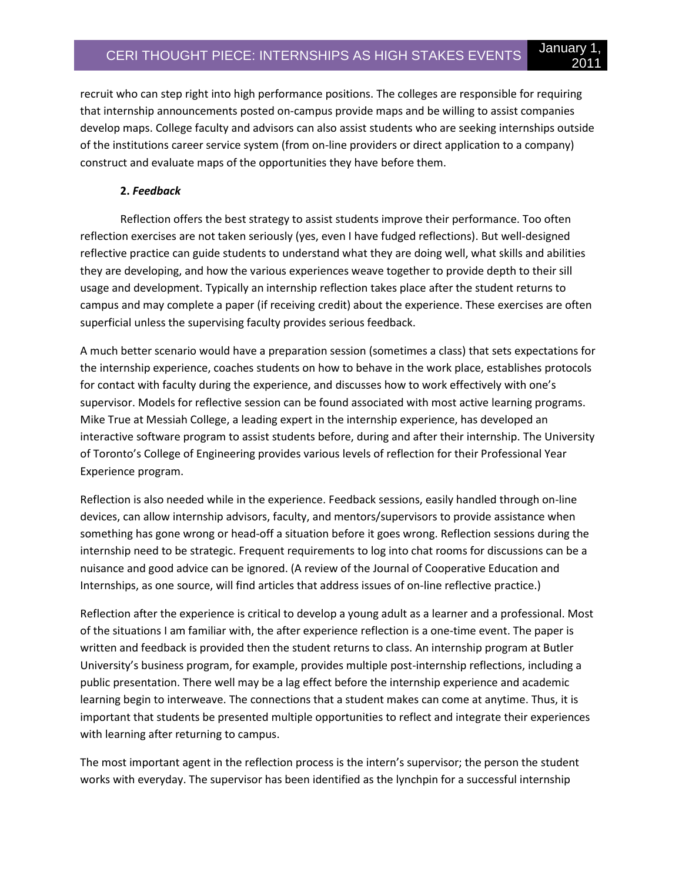recruit who can step right into high performance positions. The colleges are responsible for requiring that internship announcements posted on-campus provide maps and be willing to assist companies develop maps. College faculty and advisors can also assist students who are seeking internships outside of the institutions career service system (from on-line providers or direct application to a company) construct and evaluate maps of the opportunities they have before them.

2011

# **2.** *Feedback*

Reflection offers the best strategy to assist students improve their performance. Too often reflection exercises are not taken seriously (yes, even I have fudged reflections). But well-designed reflective practice can guide students to understand what they are doing well, what skills and abilities they are developing, and how the various experiences weave together to provide depth to their sill usage and development. Typically an internship reflection takes place after the student returns to campus and may complete a paper (if receiving credit) about the experience. These exercises are often superficial unless the supervising faculty provides serious feedback.

A much better scenario would have a preparation session (sometimes a class) that sets expectations for the internship experience, coaches students on how to behave in the work place, establishes protocols for contact with faculty during the experience, and discusses how to work effectively with one's supervisor. Models for reflective session can be found associated with most active learning programs. Mike True at Messiah College, a leading expert in the internship experience, has developed an interactive software program to assist students before, during and after their internship. The University of Toronto's College of Engineering provides various levels of reflection for their Professional Year Experience program.

Reflection is also needed while in the experience. Feedback sessions, easily handled through on-line devices, can allow internship advisors, faculty, and mentors/supervisors to provide assistance when something has gone wrong or head-off a situation before it goes wrong. Reflection sessions during the internship need to be strategic. Frequent requirements to log into chat rooms for discussions can be a nuisance and good advice can be ignored. (A review of the Journal of Cooperative Education and Internships, as one source, will find articles that address issues of on-line reflective practice.)

Reflection after the experience is critical to develop a young adult as a learner and a professional. Most of the situations I am familiar with, the after experience reflection is a one-time event. The paper is written and feedback is provided then the student returns to class. An internship program at Butler University's business program, for example, provides multiple post-internship reflections, including a public presentation. There well may be a lag effect before the internship experience and academic learning begin to interweave. The connections that a student makes can come at anytime. Thus, it is important that students be presented multiple opportunities to reflect and integrate their experiences with learning after returning to campus.

The most important agent in the reflection process is the intern's supervisor; the person the student works with everyday. The supervisor has been identified as the lynchpin for a successful internship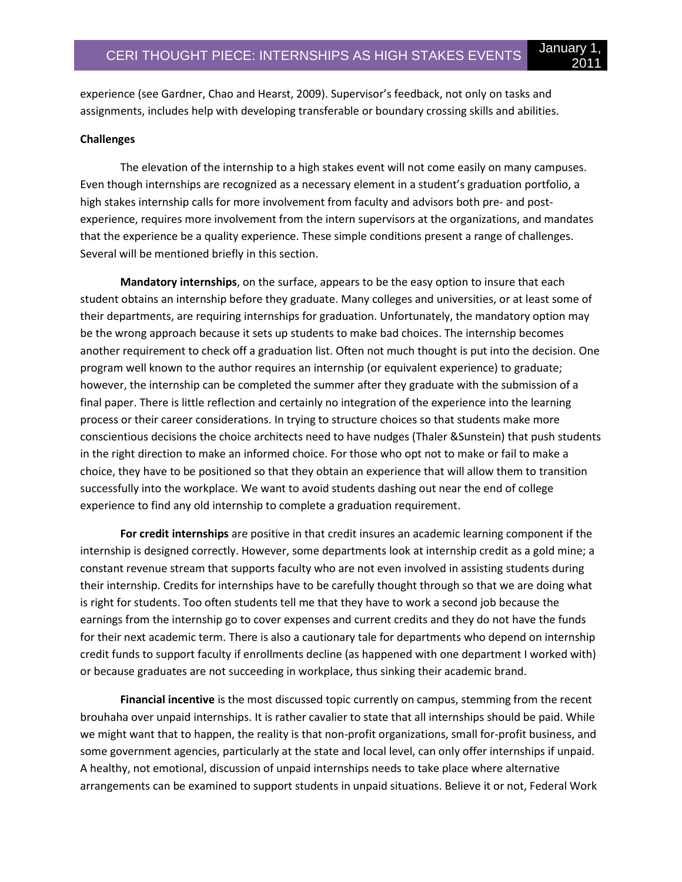experience (see Gardner, Chao and Hearst, 2009). Supervisor's feedback, not only on tasks and assignments, includes help with developing transferable or boundary crossing skills and abilities.

#### **Challenges**

The elevation of the internship to a high stakes event will not come easily on many campuses. Even though internships are recognized as a necessary element in a student's graduation portfolio, a high stakes internship calls for more involvement from faculty and advisors both pre- and postexperience, requires more involvement from the intern supervisors at the organizations, and mandates that the experience be a quality experience. These simple conditions present a range of challenges. Several will be mentioned briefly in this section.

**Mandatory internships**, on the surface, appears to be the easy option to insure that each student obtains an internship before they graduate. Many colleges and universities, or at least some of their departments, are requiring internships for graduation. Unfortunately, the mandatory option may be the wrong approach because it sets up students to make bad choices. The internship becomes another requirement to check off a graduation list. Often not much thought is put into the decision. One program well known to the author requires an internship (or equivalent experience) to graduate; however, the internship can be completed the summer after they graduate with the submission of a final paper. There is little reflection and certainly no integration of the experience into the learning process or their career considerations. In trying to structure choices so that students make more conscientious decisions the choice architects need to have nudges (Thaler &Sunstein) that push students in the right direction to make an informed choice. For those who opt not to make or fail to make a choice, they have to be positioned so that they obtain an experience that will allow them to transition successfully into the workplace. We want to avoid students dashing out near the end of college experience to find any old internship to complete a graduation requirement.

**For credit internships** are positive in that credit insures an academic learning component if the internship is designed correctly. However, some departments look at internship credit as a gold mine; a constant revenue stream that supports faculty who are not even involved in assisting students during their internship. Credits for internships have to be carefully thought through so that we are doing what is right for students. Too often students tell me that they have to work a second job because the earnings from the internship go to cover expenses and current credits and they do not have the funds for their next academic term. There is also a cautionary tale for departments who depend on internship credit funds to support faculty if enrollments decline (as happened with one department I worked with) or because graduates are not succeeding in workplace, thus sinking their academic brand.

**Financial incentive** is the most discussed topic currently on campus, stemming from the recent brouhaha over unpaid internships. It is rather cavalier to state that all internships should be paid. While we might want that to happen, the reality is that non-profit organizations, small for-profit business, and some government agencies, particularly at the state and local level, can only offer internships if unpaid. A healthy, not emotional, discussion of unpaid internships needs to take place where alternative arrangements can be examined to support students in unpaid situations. Believe it or not, Federal Work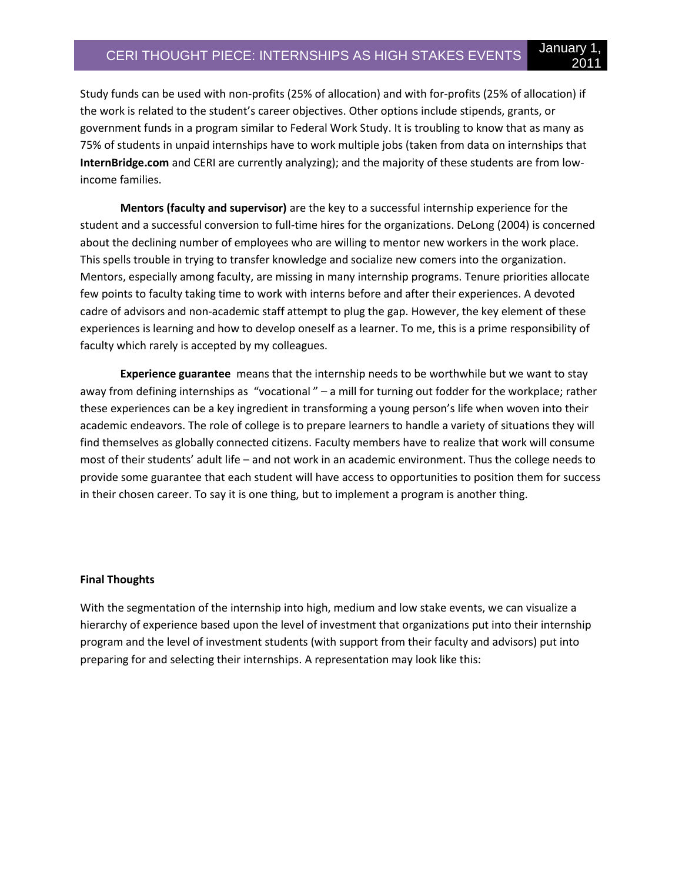Study funds can be used with non-profits (25% of allocation) and with for-profits (25% of allocation) if the work is related to the student's career objectives. Other options include stipends, grants, or government funds in a program similar to Federal Work Study. It is troubling to know that as many as 75% of students in unpaid internships have to work multiple jobs (taken from data on internships that **InternBridge.com** and CERI are currently analyzing); and the majority of these students are from lowincome families.

**Mentors (faculty and supervisor)** are the key to a successful internship experience for the student and a successful conversion to full-time hires for the organizations. DeLong (2004) is concerned about the declining number of employees who are willing to mentor new workers in the work place. This spells trouble in trying to transfer knowledge and socialize new comers into the organization. Mentors, especially among faculty, are missing in many internship programs. Tenure priorities allocate few points to faculty taking time to work with interns before and after their experiences. A devoted cadre of advisors and non-academic staff attempt to plug the gap. However, the key element of these experiences is learning and how to develop oneself as a learner. To me, this is a prime responsibility of faculty which rarely is accepted by my colleagues.

**Experience guarantee** means that the internship needs to be worthwhile but we want to stay away from defining internships as "vocational " – a mill for turning out fodder for the workplace; rather these experiences can be a key ingredient in transforming a young person's life when woven into their academic endeavors. The role of college is to prepare learners to handle a variety of situations they will find themselves as globally connected citizens. Faculty members have to realize that work will consume most of their students' adult life – and not work in an academic environment. Thus the college needs to provide some guarantee that each student will have access to opportunities to position them for success in their chosen career. To say it is one thing, but to implement a program is another thing.

#### **Final Thoughts**

With the segmentation of the internship into high, medium and low stake events, we can visualize a hierarchy of experience based upon the level of investment that organizations put into their internship program and the level of investment students (with support from their faculty and advisors) put into preparing for and selecting their internships. A representation may look like this: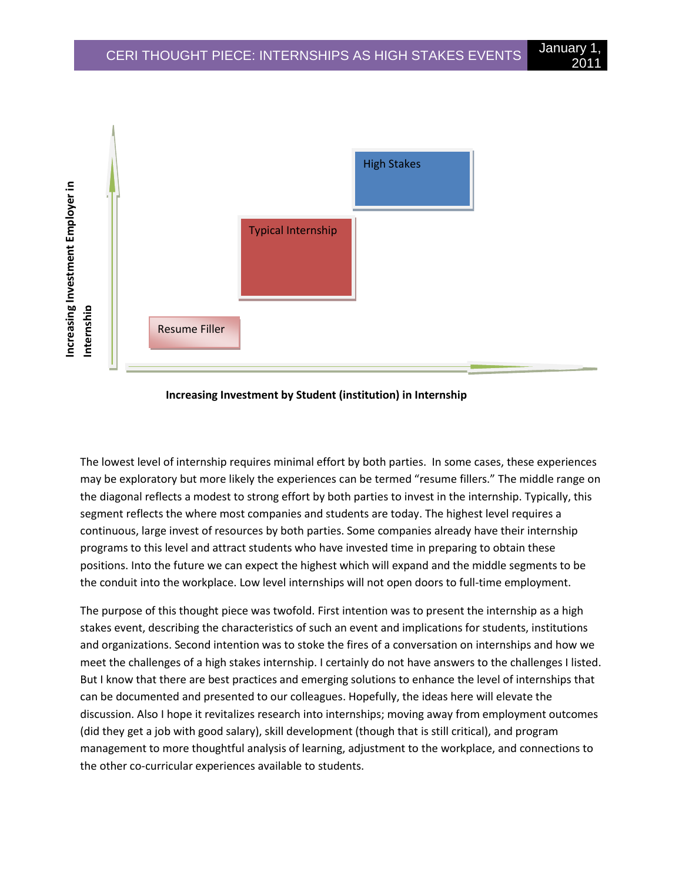

#### **Increasing Investment by Student (institution) in Internship**

The lowest level of internship requires minimal effort by both parties. In some cases, these experiences may be exploratory but more likely the experiences can be termed "resume fillers." The middle range on the diagonal reflects a modest to strong effort by both parties to invest in the internship. Typically, this segment reflects the where most companies and students are today. The highest level requires a continuous, large invest of resources by both parties. Some companies already have their internship programs to this level and attract students who have invested time in preparing to obtain these positions. Into the future we can expect the highest which will expand and the middle segments to be the conduit into the workplace. Low level internships will not open doors to full-time employment.

The purpose of this thought piece was twofold. First intention was to present the internship as a high stakes event, describing the characteristics of such an event and implications for students, institutions and organizations. Second intention was to stoke the fires of a conversation on internships and how we meet the challenges of a high stakes internship. I certainly do not have answers to the challenges I listed. But I know that there are best practices and emerging solutions to enhance the level of internships that can be documented and presented to our colleagues. Hopefully, the ideas here will elevate the discussion. Also I hope it revitalizes research into internships; moving away from employment outcomes (did they get a job with good salary), skill development (though that is still critical), and program management to more thoughtful analysis of learning, adjustment to the workplace, and connections to the other co-curricular experiences available to students.